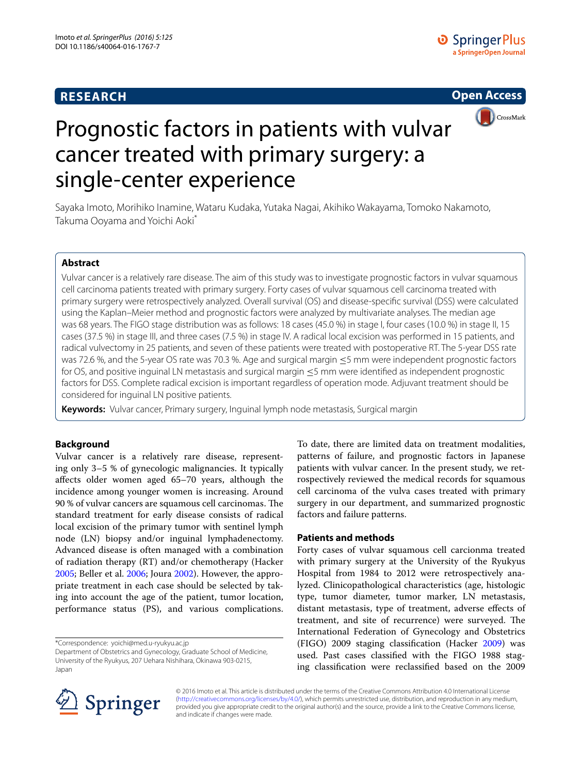## **RESEARCH**





# Prognostic factors in patients with vulvar cancer treated with primary surgery: a single-center experience

Sayaka Imoto, Morihiko Inamine, Wataru Kudaka, Yutaka Nagai, Akihiko Wakayama, Tomoko Nakamoto, Takuma Ooyama and Yoichi Aoki\*

## **Abstract**

Vulvar cancer is a relatively rare disease. The aim of this study was to investigate prognostic factors in vulvar squamous cell carcinoma patients treated with primary surgery. Forty cases of vulvar squamous cell carcinoma treated with primary surgery were retrospectively analyzed. Overall survival (OS) and disease-specific survival (DSS) were calculated using the Kaplan–Meier method and prognostic factors were analyzed by multivariate analyses. The median age was 68 years. The FIGO stage distribution was as follows: 18 cases (45.0 %) in stage I, four cases (10.0 %) in stage II, 15 cases (37.5 %) in stage III, and three cases (7.5 %) in stage IV. A radical local excision was performed in 15 patients, and radical vulvectomy in 25 patients, and seven of these patients were treated with postoperative RT. The 5-year DSS rate was 72.6 %, and the 5-year OS rate was 70.3 %. Age and surgical margin ≤5 mm were independent prognostic factors for OS, and positive inguinal LN metastasis and surgical margin ≤5 mm were identified as independent prognostic factors for DSS. Complete radical excision is important regardless of operation mode. Adjuvant treatment should be considered for inguinal LN positive patients.

**Keywords:** Vulvar cancer, Primary surgery, Inguinal lymph node metastasis, Surgical margin

### **Background**

Vulvar cancer is a relatively rare disease, representing only 3–5 % of gynecologic malignancies. It typically affects older women aged 65–70 years, although the incidence among younger women is increasing. Around 90 % of vulvar cancers are squamous cell carcinomas. The standard treatment for early disease consists of radical local excision of the primary tumor with sentinel lymph node (LN) biopsy and/or inguinal lymphadenectomy. Advanced disease is often managed with a combination of radiation therapy (RT) and/or chemotherapy (Hacker [2005](#page-4-0); Beller et al. [2006](#page-4-1); Joura [2002](#page-4-2)). However, the appropriate treatment in each case should be selected by taking into account the age of the patient, tumor location, performance status (PS), and various complications.

\*Correspondence: yoichi@med.u-ryukyu.ac.jp

To date, there are limited data on treatment modalities, patterns of failure, and prognostic factors in Japanese patients with vulvar cancer. In the present study, we retrospectively reviewed the medical records for squamous cell carcinoma of the vulva cases treated with primary surgery in our department, and summarized prognostic factors and failure patterns.

#### **Patients and methods**

Forty cases of vulvar squamous cell carcionma treated with primary surgery at the University of the Ryukyus Hospital from 1984 to 2012 were retrospectively analyzed. Clinicopathological characteristics (age, histologic type, tumor diameter, tumor marker, LN metastasis, distant metastasis, type of treatment, adverse effects of treatment, and site of recurrence) were surveyed. The International Federation of Gynecology and Obstetrics (FIGO) 2009 staging classification (Hacker [2009\)](#page-4-3) was used. Past cases classified with the FIGO 1988 staging classification were reclassified based on the 2009



© 2016 Imoto et al. This article is distributed under the terms of the Creative Commons Attribution 4.0 International License [\(http://creativecommons.org/licenses/by/4.0/\)](http://creativecommons.org/licenses/by/4.0/), which permits unrestricted use, distribution, and reproduction in any medium, provided you give appropriate credit to the original author(s) and the source, provide a link to the Creative Commons license, and indicate if changes were made.

Department of Obstetrics and Gynecology, Graduate School of Medicine, University of the Ryukyus, 207 Uehara Nishihara, Okinawa 903-0215, Japan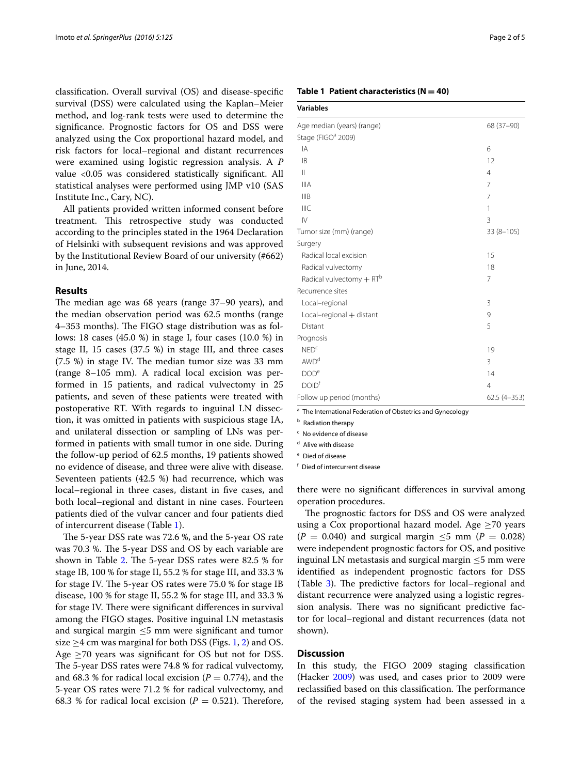classification. Overall survival (OS) and disease-specific survival (DSS) were calculated using the Kaplan–Meier method, and log-rank tests were used to determine the significance. Prognostic factors for OS and DSS were analyzed using the Cox proportional hazard model, and risk factors for local–regional and distant recurrences were examined using logistic regression analysis. A *P* value <0.05 was considered statistically significant. All statistical analyses were performed using JMP v10 (SAS Institute Inc., Cary, NC).

All patients provided written informed consent before treatment. This retrospective study was conducted according to the principles stated in the 1964 Declaration of Helsinki with subsequent revisions and was approved by the Institutional Review Board of our university (#662) in June, 2014.

#### **Results**

The median age was 68 years (range 37–90 years), and the median observation period was 62.5 months (range 4–353 months). The FIGO stage distribution was as follows: 18 cases (45.0 %) in stage I, four cases (10.0 %) in stage II, 15 cases (37.5 %) in stage III, and three cases (7.5 %) in stage IV. The median tumor size was 33 mm (range 8–105 mm). A radical local excision was performed in 15 patients, and radical vulvectomy in 25 patients, and seven of these patients were treated with postoperative RT. With regards to inguinal LN dissection, it was omitted in patients with suspicious stage IA, and unilateral dissection or sampling of LNs was performed in patients with small tumor in one side. During the follow-up period of 62.5 months, 19 patients showed no evidence of disease, and three were alive with disease. Seventeen patients (42.5 %) had recurrence, which was local–regional in three cases, distant in five cases, and both local–regional and distant in nine cases. Fourteen patients died of the vulvar cancer and four patients died of intercurrent disease (Table [1](#page-1-0)).

The 5-year DSS rate was 72.6 %, and the 5-year OS rate was 70.3 %. The 5-year DSS and OS by each variable are shown in Table [2.](#page-2-0) The 5-year DSS rates were 82.5 % for stage IB, 100 % for stage II, 55.2 % for stage III, and 33.3 % for stage IV. The 5-year OS rates were 75.0 % for stage IB disease, 100 % for stage II, 55.2 % for stage III, and 33.3 % for stage IV. There were significant differences in survival among the FIGO stages. Positive inguinal LN metastasis and surgical margin ≤5 mm were significant and tumor size  $\geq$ 4 cm was marginal for both DSS (Figs. [1](#page-2-1), [2\)](#page-2-2) and OS. Age  $\geq$ 70 years was significant for OS but not for DSS. The 5-year DSS rates were 74.8 % for radical vulvectomy, and 68.3 % for radical local excision ( $P = 0.774$ ), and the 5-year OS rates were 71.2 % for radical vulvectomy, and 68.3 % for radical local excision ( $P = 0.521$ ). Therefore,

#### <span id="page-1-0"></span>**Table 1 Patient characteristics (N = 40)**

| variable |  |
|----------|--|
|          |  |

| Age median (years) (range)                                                                                                                                             | 68 (37-90)     |
|------------------------------------------------------------------------------------------------------------------------------------------------------------------------|----------------|
| Stage (FIGO <sup>a</sup> 2009)                                                                                                                                         |                |
| IA                                                                                                                                                                     | 6              |
| <b>IB</b>                                                                                                                                                              | 12             |
| $\mathbf{  }$                                                                                                                                                          | 4              |
| <b>IIIA</b>                                                                                                                                                            | 7              |
| IIIB                                                                                                                                                                   | 7              |
| <b>IIIC</b>                                                                                                                                                            | 1              |
| $\mathsf{IV}$                                                                                                                                                          | 3              |
| Tumor size (mm) (range)                                                                                                                                                | $33(8 - 105)$  |
| Surgery                                                                                                                                                                |                |
| Radical local excision                                                                                                                                                 | 15             |
| Radical vulvectomy                                                                                                                                                     | 18             |
| Radical vulvectomy $+ RT^b$                                                                                                                                            | 7              |
| Recurrence sites                                                                                                                                                       |                |
| Local-regional                                                                                                                                                         | 3              |
| Local-regional + distant                                                                                                                                               | 9              |
| Distant                                                                                                                                                                | 5              |
| Prognosis                                                                                                                                                              |                |
| NED <sup>c</sup>                                                                                                                                                       | 19             |
| AWD <sup>d</sup>                                                                                                                                                       | 3              |
| DOD <sup>e</sup>                                                                                                                                                       | 14             |
| <b>DOID</b> <sup>f</sup>                                                                                                                                               | $\overline{4}$ |
| Follow up period (months)                                                                                                                                              | $62.5(4-353)$  |
| $\overline{a}$ , $\overline{a}$ , $\overline{a}$ , $\overline{a}$ , $\overline{a}$ , $\overline{a}$ , $\overline{a}$ , $\overline{a}$ , $\overline{a}$<br>$\mathbf{r}$ |                |

The International Federation of Obstetrics and Gynecology

**b** Radiation therapy

<sup>c</sup> No evidence of disease

<sup>d</sup> Alive with disease

<sup>e</sup> Died of disease

<sup>f</sup> Died of intercurrent disease

there were no significant differences in survival among operation procedures.

The prognostic factors for DSS and OS were analyzed using a Cox proportional hazard model. Age  $\geq$ 70 years  $(P = 0.040)$  and surgical margin  $\leq 5$  mm  $(P = 0.028)$ were independent prognostic factors for OS, and positive inguinal LN metastasis and surgical margin  $\leq$ 5 mm were identified as independent prognostic factors for DSS (Table [3](#page-3-0)). The predictive factors for local–regional and distant recurrence were analyzed using a logistic regression analysis. There was no significant predictive factor for local–regional and distant recurrences (data not shown).

#### **Discussion**

In this study, the FIGO 2009 staging classification (Hacker [2009](#page-4-3)) was used, and cases prior to 2009 were reclassified based on this classification. The performance of the revised staging system had been assessed in a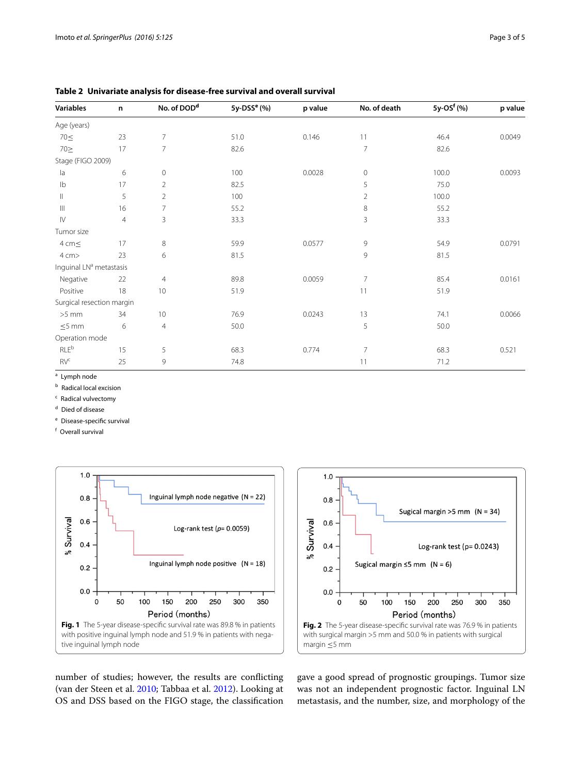| <b>Variables</b>                    | n              | No. of DOD <sup>d</sup> | $5y$ -DSS <sup>e</sup> (%) | p value | No. of death   | 5y-OS <sup>f</sup> (%) | p value |
|-------------------------------------|----------------|-------------------------|----------------------------|---------|----------------|------------------------|---------|
| Age (years)                         |                |                         |                            |         |                |                        |         |
| $70 \leq$                           | 23             | 7                       | 51.0                       | 0.146   | 11             | 46.4                   | 0.0049  |
| $70 \geq$                           | 17             | $\overline{7}$          | 82.6                       |         | 7              | 82.6                   |         |
| Stage (FIGO 2009)                   |                |                         |                            |         |                |                        |         |
| la                                  | 6              | $\mathbf 0$             | 100                        | 0.0028  | 0              | 100.0                  | 0.0093  |
| Ib                                  | 17             | $\overline{2}$          | 82.5                       |         | 5              | 75.0                   |         |
| $\parallel$                         | 5              | $\overline{2}$          | 100                        |         | $\overline{2}$ | 100.0                  |         |
| $\mathbb{H}$                        | 16             | 7                       | 55.2                       |         | 8              | 55.2                   |         |
| $\mathsf{IV}$                       | $\overline{4}$ | 3                       | 33.3                       |         | 3              | 33.3                   |         |
| Tumor size                          |                |                         |                            |         |                |                        |         |
| 4 cm <                              | 17             | 8                       | 59.9                       | 0.0577  | 9              | 54.9                   | 0.0791  |
| 4 cm>                               | 23             | 6                       | 81.5                       |         | 9              | 81.5                   |         |
| Inguinal LN <sup>a</sup> metastasis |                |                         |                            |         |                |                        |         |
| Negative                            | 22             | $\overline{4}$          | 89.8                       | 0.0059  | $\overline{7}$ | 85.4                   | 0.0161  |
| Positive                            | 18             | 10                      | 51.9                       |         | 11             | 51.9                   |         |
| Surgical resection margin           |                |                         |                            |         |                |                        |         |
| $>5$ mm                             | 34             | 10                      | 76.9                       | 0.0243  | 13             | 74.1                   | 0.0066  |
| $\leq 5$ mm                         | 6              | $\overline{4}$          | 50.0                       |         | 5              | 50.0                   |         |
| Operation mode                      |                |                         |                            |         |                |                        |         |
| <b>RLE</b> b                        | 15             | 5                       | 68.3                       | 0.774   | $\overline{7}$ | 68.3                   | 0.521   |
| RV <sup>c</sup>                     | 25             | 9                       | 74.8                       |         | 11             | 71.2                   |         |

<span id="page-2-0"></span>**Table 2 Univariate analysis for disease-free survival and overall survival**

 $a$  Lymph node

**b** Radical local excision

<sup>c</sup> Radical vulvectomy

<sup>d</sup> Died of disease

<sup>e</sup> Disease-specific survival

<sup>f</sup> Overall survival





<span id="page-2-1"></span>number of studies; however, the results are conflicting (van der Steen et al. [2010](#page-4-4); Tabbaa et al. [2012\)](#page-4-5). Looking at OS and DSS based on the FIGO stage, the classification <span id="page-2-2"></span>gave a good spread of prognostic groupings. Tumor size was not an independent prognostic factor. Inguinal LN metastasis, and the number, size, and morphology of the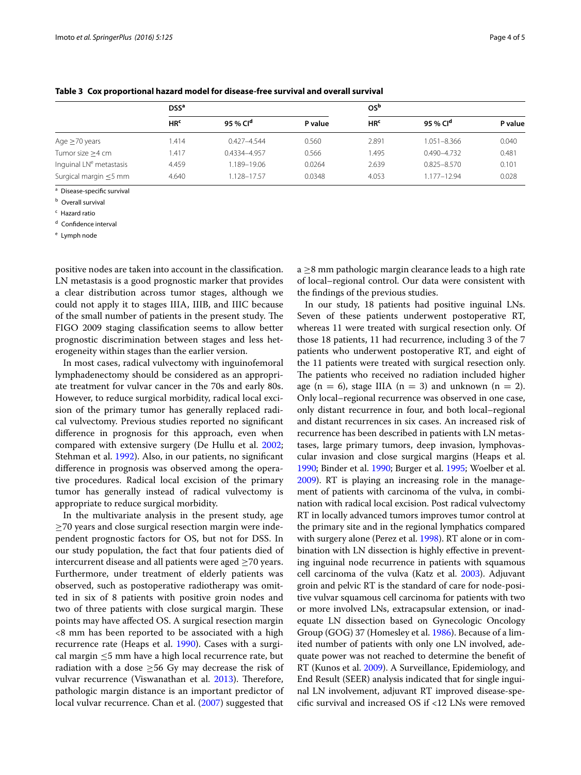|                                     | DSS <sup>a</sup>            |                      |         | 0Sb             |                      |         |
|-------------------------------------|-----------------------------|----------------------|---------|-----------------|----------------------|---------|
|                                     | H <sub>R</sub> <sup>c</sup> | 95 % Cl <sup>d</sup> | P value | HR <sup>c</sup> | 95 % Cl <sup>d</sup> | P value |
| Age $\geq$ 70 years                 | .414                        | $0.427 - 4.544$      | 0.560   | 2.891           | 1.051-8.366          | 0.040   |
| Tumor size >4 cm                    | .417                        | 0.4334-4.957         | 0.566   | 1.495           | $0.490 - 4.732$      | 0.481   |
| Inquinal LN <sup>e</sup> metastasis | 4.459                       | 1.189-19.06          | 0.0264  | 2.639           | $0.825 - 8.570$      | 0.101   |
| Surgical margin $\leq$ 5 mm         | 4.640                       | 1.128-17.57          | 0.0348  | 4.053           | 1.177-12.94          | 0.028   |

<span id="page-3-0"></span>**Table 3 Cox proportional hazard model for disease-free survival and overall survival**

<sup>a</sup> Disease-specific survival

**b** Overall survival

<sup>c</sup> Hazard ratio

<sup>d</sup> Confidence interval

<sup>e</sup> Lymph node

positive nodes are taken into account in the classification. LN metastasis is a good prognostic marker that provides a clear distribution across tumor stages, although we could not apply it to stages IIIA, IIIB, and IIIC because of the small number of patients in the present study. The FIGO 2009 staging classification seems to allow better prognostic discrimination between stages and less heterogeneity within stages than the earlier version.

In most cases, radical vulvectomy with inguinofemoral lymphadenectomy should be considered as an appropriate treatment for vulvar cancer in the 70s and early 80s. However, to reduce surgical morbidity, radical local excision of the primary tumor has generally replaced radical vulvectomy. Previous studies reported no significant difference in prognosis for this approach, even when compared with extensive surgery (De Hullu et al. [2002](#page-4-6); Stehman et al. [1992\)](#page-4-7). Also, in our patients, no significant difference in prognosis was observed among the operative procedures. Radical local excision of the primary tumor has generally instead of radical vulvectomy is appropriate to reduce surgical morbidity.

In the multivariate analysis in the present study, age  $\geq$ 70 years and close surgical resection margin were independent prognostic factors for OS, but not for DSS. In our study population, the fact that four patients died of intercurrent disease and all patients were aged  $\geq$ 70 years. Furthermore, under treatment of elderly patients was observed, such as postoperative radiotherapy was omitted in six of 8 patients with positive groin nodes and two of three patients with close surgical margin. These points may have affected OS. A surgical resection margin <8 mm has been reported to be associated with a high recurrence rate (Heaps et al. [1990](#page-4-8)). Cases with a surgical margin ≤5 mm have a high local recurrence rate, but radiation with a dose  $\geq$ 56 Gy may decrease the risk of vulvar recurrence (Viswanathan et al. [2013](#page-4-9)). Therefore, pathologic margin distance is an important predictor of local vulvar recurrence. Chan et al. [\(2007\)](#page-4-10) suggested that  $a \geq 8$  mm pathologic margin clearance leads to a high rate of local–regional control. Our data were consistent with the findings of the previous studies.

In our study, 18 patients had positive inguinal LNs. Seven of these patients underwent postoperative RT, whereas 11 were treated with surgical resection only. Of those 18 patients, 11 had recurrence, including 3 of the 7 patients who underwent postoperative RT, and eight of the 11 patients were treated with surgical resection only. The patients who received no radiation included higher age  $(n = 6)$ , stage IIIA  $(n = 3)$  and unknown  $(n = 2)$ . Only local–regional recurrence was observed in one case, only distant recurrence in four, and both local–regional and distant recurrences in six cases. An increased risk of recurrence has been described in patients with LN metastases, large primary tumors, deep invasion, lymphovascular invasion and close surgical margins (Heaps et al. [1990](#page-4-8); Binder et al. [1990](#page-4-11); Burger et al. [1995;](#page-4-12) Woelber et al. [2009](#page-4-13)). RT is playing an increasing role in the management of patients with carcinoma of the vulva, in combination with radical local excision. Post radical vulvectomy RT in locally advanced tumors improves tumor control at the primary site and in the regional lymphatics compared with surgery alone (Perez et al. [1998\)](#page-4-14). RT alone or in combination with LN dissection is highly effective in preventing inguinal node recurrence in patients with squamous cell carcinoma of the vulva (Katz et al. [2003](#page-4-15)). Adjuvant groin and pelvic RT is the standard of care for node-positive vulvar squamous cell carcinoma for patients with two or more involved LNs, extracapsular extension, or inadequate LN dissection based on Gynecologic Oncology Group (GOG) 37 (Homesley et al. [1986](#page-4-16)). Because of a limited number of patients with only one LN involved, adequate power was not reached to determine the benefit of RT (Kunos et al. [2009](#page-4-17)). A Surveillance, Epidemiology, and End Result (SEER) analysis indicated that for single inguinal LN involvement, adjuvant RT improved disease-specific survival and increased OS if <12 LNs were removed